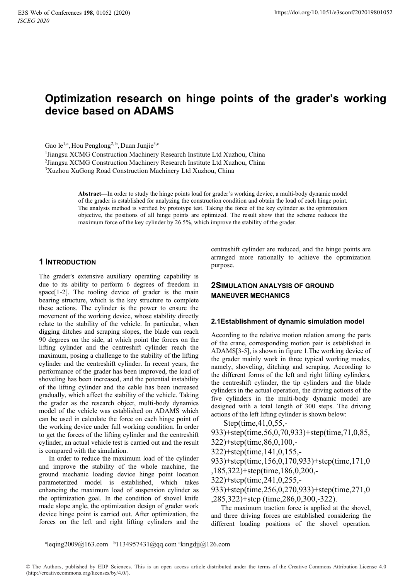# **Optimization research on hinge points of the grader's working device based on ADAMS**

Gao le<sup>1,a</sup>, Hou Penglong<sup>2, b</sup>, Duan Junjie<sup>3,c</sup>

<sup>1</sup>Jiangsu XCMG Construction Machinery Research Institute Ltd Xuzhou, China

<sup>1</sup>Jiangsu XCMG Construction Machinery Research Institute Ltd Xuzhou, China<br><sup>2</sup>Iiangsu XCMG Construction Machinery Research Institute Ltd Xuzhou, China <sup>2</sup>Jiangsu XCMG Construction Machinery Research Institute Ltd Xuzhou, China <sup>3</sup>Xuzhou XuGong Road Construction Machinery I td Xuzhou, China

<sup>3</sup>Xuzhou XuGong Road Construction Machinery Ltd Xuzhou, China

**Abstract—**In order to study the hinge points load for grader's working device, a multi-body dynamic model of the grader is established for analyzing the construction condition and obtain the load of each hinge point. The analysis method is verified by prototype test. Taking the force of the key cylinder as the optimization objective, the positions of all hinge points are optimized. The result show that the scheme reduces the maximum force of the key cylinder by 26.5%, which improve the stability of the grader.

# **1 INTRODUCTION**

The grader's extensive auxiliary operating capability is due to its ability to perform 6 degrees of freedom in space[1-2]. The tooling device of grader is the main bearing structure, which is the key structure to complete these actions. The cylinder is the power to ensure the movement of the working device, whose stability directly relate to the stability of the vehicle. In particular, when digging ditches and scraping slopes, the blade can reach 90 degrees on the side, at which point the forces on the lifting cylinder and the centreshift cylinder reach the maximum, posing a challenge to the stability of the lifting cylinder and the centreshift cylinder. In recent years, the performance of the grader has been improved, the load of shoveling has been increased, and the potential instability of the lifting cylinder and the cable has been increased gradually, which affect the stability of the vehicle. Taking the grader as the research object, multi-body dynamics model of the vehicle was established on ADAMS which can be used in calculate the force on each hinge point of the working device under full working condition. In order to get the forces of the lifting cylinder and the centreshift cylinder, an actual vehicle test is carried out and the result is compared with the simulation.

In order to reduce the maximum load of the cylinder and improve the stability of the whole machine, the ground mechanic loading device hinge point location parameterized model is established, which takes enhancing the maximum load of suspension cylinder as the optimization goal. In the condition of shovel knife made slope angle, the optimization design of grader work device hinge point is carried out. After optimization, the forces on the left and right lifting cylinders and the

centreshift cylinder are reduced, and the hinge points are arranged more rationally to achieve the optimization purpose.

# **2SIMULATION ANALYSIS OF GROUND MANEUVER MECHANICS**

## **2.1Establishment of dynamic simulation model**

According to the relative motion relation among the parts of the crane, corresponding motion pair is established in ADAMS[3-5], is shown in figure 1.The working device of the grader mainly work in three typical working modes, namely, shoveling, ditching and scraping. According to the different forms of the left and right lifting cylinders, the centreshift cylinder, the tip cylinders and the blade cylinders in the actual operation, the driving actions of the five cylinders in the multi-body dynamic model are designed with a total length of 300 steps. The driving actions of the left lifting cylinder is shown below:

Step(time,41,0,55,-

933)+step(time,56,0,70,933)+step(time,71,0,85,

322)+step(time,86,0,100,-

322)+step(time,141,0,155,-

933)+step(time,156,0,170,933)+step(time,171,0

,185,322)+step(time,186,0,200,-

322)+step(time,241,0,255,-

933)+step(time,256,0,270,933)+step(time,271,0 ,285,322)+step (time,286,0,300,-322).

The maximum traction force is applied at the shovel, and three driving forces are established considering the different loading positions of the shovel operation.

 $a$ leqing2009@163.com  $b$ 1134957431@qq.com ckingdjj@126.com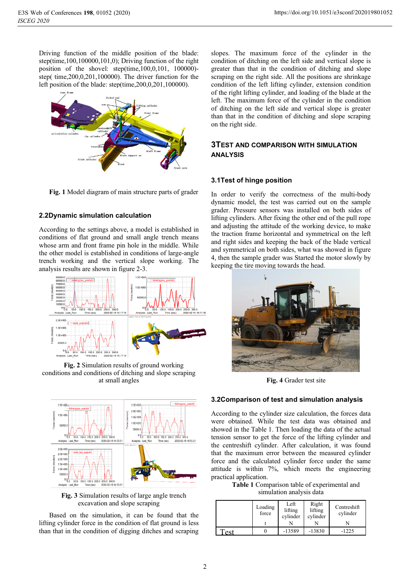Driving function of the middle position of the blade: step(time,100,100000,101,0); Driving function of the right position of the shovel: step(time,100,0,101, 100000) step( time,200,0,201,100000). The driver function for the left position of the blade: step(time,200,0,201,100000).



**Fig. 1** Model diagram of main structure parts of grader

# **2.2Dynamic simulation calculation**

According to the settings above, a model is established in conditions of flat ground and small angle trench means whose arm and front frame pin hole in the middle. While the other model is established in conditions of large-angle trench working and the vertical slope working. The analysis results are shown in figure 2-3.



**Fig. 2** Simulation results of ground working conditions and conditions of ditching and slope scraping at small angles



**Fig. 3** Simulation results of large angle trench excavation and slope scraping

Based on the simulation, it can be found that the lifting cylinder force in the condition of flat ground is less than that in the condition of digging ditches and scraping

slopes. The maximum force of the cylinder in the condition of ditching on the left side and vertical slope is greater than that in the condition of ditching and slope scraping on the right side. All the positions are shrinkage condition of the left lifting cylinder, extension condition of the right lifting cylinder, and loading of the blade at the left. The maximum force of the cylinder in the condition of ditching on the left side and vertical slope is greater than that in the condition of ditching and slope scraping on the right side.

# **3TEST AND COMPARISON WITH SIMULATION ANALYSIS**

## **3.1Test of hinge position**

In order to verify the correctness of the multi-body dynamic model, the test was carried out on the sample grader. Pressure sensors was installed on both sides of lifting cylinders. After fixing the other end of the pull rope and adjusting the attitude of the working device, to make the traction frame horizontal and symmetrical on the left and right sides and keeping the back of the blade vertical and symmetrical on both sides, what was showed in figure 4, then the sample grader was Started the motor slowly by keeping the tire moving towards the head.



**Fig. 4** Grader test site

## **3.2Comparison of test and simulation analysis**

According to the cylinder size calculation, the forces data were obtained. While the test data was obtained and showed in the Table 1. Then loading the data of the actual tension sensor to get the force of the lifting cylinder and the centreshift cylinder. After calculation, it was found that the maximum error between the measured cylinder force and the calculated cylinder force under the same attitude is within 7%, which meets the engineering practical application.

**Table 1** Comparison table of experimental and simulation analysis data

|             | Loading<br>force | Left<br>lifting<br>cylinder | Right<br>lifting<br>cylinder | Centreshift<br>cylinder |
|-------------|------------------|-----------------------------|------------------------------|-------------------------|
| $\alpha$ ct |                  | $-13589$                    | $-13830$                     | $-1225$                 |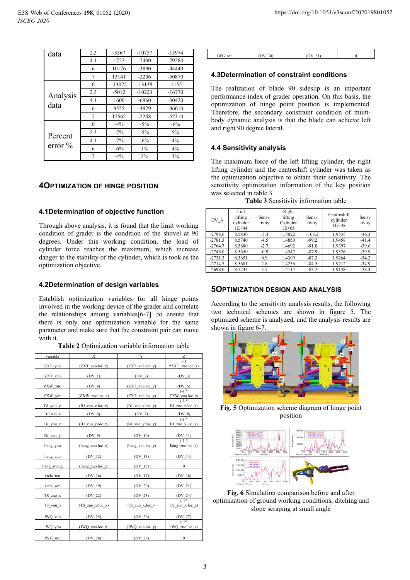| data                  | 2.3            | $-5367$  | $-10757$ | $-15974$ |
|-----------------------|----------------|----------|----------|----------|
|                       | 4.1            | 1727     | $-7400$  | $-29284$ |
|                       | 6              | 10176    | $-3890$  | $-44440$ |
|                       | $\overline{7}$ | 13141    | $-2206$  | $-50870$ |
|                       | $\theta$       | $-13022$ | $-13138$ | $-1155$  |
| Analysis<br>data      | 2.3            | $-5012$  | $-10223$ | $-16770$ |
|                       | 4.1            | 1600     | $-6960$  | $-30420$ |
|                       | 6              | 9555     | $-3929$  | $-46010$ |
|                       | $\overline{7}$ | 12562    | $-2248$  | $-52310$ |
|                       | $\theta$       | $-4\%$   | $-5\%$   | $-6\%$   |
| Percent<br>error $\%$ | 2.3            | $-7\%$   | $-5%$    | 5%       |
|                       | 4.1            | $-7\%$   | $-6\%$   | 4%       |
|                       | 6              | $-6%$    | $1\%$    | 4%       |
|                       | 7              | $-4\%$   | $2\%$    | 3%       |

# **4OPTIMIZATION OF HINGE POSITION**

## **4.1Determination of objective function**

Through above analysis, it is found that the limit working condition of grader is the condition of the shovel at 90 degrees. Under this working condition, the load of cylinder force reaches the maximum, which increase danger to the stability of the cylinder, which is took as the optimization objective.

#### **4.2Determination of design variables**

Establish optimization variables for all hinge points involved in the working device of the grader and correlate the relationships among variables[6-7] ,to ensure that there is only one optimization variable for the same parameter and make sure that the constraint pair can move with it.

| variable      | Х                     | Y                        | Ζ                                                |
|---------------|-----------------------|--------------------------|--------------------------------------------------|
| ZXT_you       | $(ZXT_$ zuo.loc_x)    | $(ZXT$ zuo.loc y)        | $(-1)$<br>*ZXT_zuo.loc_z)                        |
| ZXT_zuo       | $(DV_1)$              | $(DV_2)$                 | $(DV_3)$                                         |
| ZXW_zuo       | $(DV_4)$              | $(ZXT_$                  |                                                  |
| ZXW_you       | $(ZXW_$ zuo.loc_x)    | $(ZXT_$ zuo.loc_y)       | $\frac{(DV_5)}{(-1)^*}$<br>ZXW_zuo.loc_z)        |
| BJ you y      | $(BJ$ zuo z.loc x)    | $(BJ$ zuo z.loc y)       | $(-1)^*$<br>BJ zuo z.loc z)                      |
| BJ zuo z      | $(DV_6)$              | $(DV_7)$                 |                                                  |
| BJ you z      | $(BJ_$ zuo y.loc x)   | $(BJ$ zuo y.loc y)       | $rac{(\text{DV } 8)}{(-1)^*}$<br>BJ zuo y.loc z) |
| BJ_zuo_y      | $(DV_9)$              | $(DV_10)$                | $\frac{(DV_11)}{(1+1)^2}$                        |
| liang you     | $(liang\ zuo.loc\ x)$ | (liang zuo.loc_y)        | liang zuo.loc_z)                                 |
| liang zuo     | $(DV_12)$             | $(DV_13)$                | $(DV_14)$                                        |
| liang zhong   | $(liang\ zuo.loc\ x)$ | $(DV_15)$                | 0                                                |
| xiela tou     | $(DV_16)$             | $(DV_17)$                | (DV <sub>18</sub> )                              |
| xiela wei     | $(DV_19)$             | $(DV_20)$                | $(DV_21)$                                        |
| $TS_$ zuo $x$ | (DV 22)               | (DV 23)                  | $\frac{(DV 24)}{(-1)^*}$                         |
| TS_you_x      | $(TS_$ zuo x.loc x)   | $(TS_$ zuo $x$ .loc $y)$ | TS_zuo_x.loc_z)                                  |
| JWQ_zuo       | $(DV_25)$             | (DV 26)                  | $(DV_27)$                                        |
| JWQ_you       | $(JWQ_$ zuo.loc $x)$  | $(JWQ_$ zuo.loc $y)$     | $(-1)$<br>JWQ_zuo.loc_z)                         |
| JWG wei       | (DV 28)               | (DV 29)                  | $\boldsymbol{0}$                                 |

**Table 2** Optimization variable information table

| JWG tou | (DV <sub>30</sub> ) | (DV 31) |  |
|---------|---------------------|---------|--|

# **4.3Determination of constraint conditions**

The realization of blade 90 sideslip is an important performance index of grader operation. On this basis, the optimization of hinge point position is implemented. Therefore, the secondary constraint condition of multibody dynamic analysis is that the blade can achieve left and right 90 degree lateral.

## **4.4 Sensitivity analysis**

The maximum force of the left lifting cylinder, the right lifting cylinder and the centreshift cylinder was taken as the optimization objective to obtain their sensitivity. The sensitivity optimization information of the key position was selected in table 3.<br>Table 3 Se

|  |  |  | Table 3 Sensitivity information table |  |
|--|--|--|---------------------------------------|--|
|  |  |  |                                       |  |

| DV 6      | Left<br>lifting<br>cylinder<br>$1E + 04$ | Sensi-<br>tivity | Right<br>lifting<br>Cylinder<br>$1E + 05$ | Sensi-<br>tivity | Centreshift<br>cylinder<br>$1E + 05$ | Sensi-<br>tivity |
|-----------|------------------------------------------|------------------|-------------------------------------------|------------------|--------------------------------------|------------------|
| $-2798.0$ | 8.5830                                   | $-5.4$           | 1.5022                                    | $-103.2$         | 1.9535                               | $-46.3$          |
| $-2781.3$ | 8.5740                                   | $-4.5$           | 1.4850                                    | $-99.2$          | 1.9458                               | $-41.4$          |
| $-2764.7$ | 8.5680                                   | $-2.7$           | 1.4692                                    | $-91.0$          | 1.9397                               | $-39.6$          |
| $-2748.0$ | 8.5650                                   | $-0.9$           | 1.4547                                    | $-87.9$          | 1.9326                               | $-39.9$          |
| $-2731.3$ | 8.5651                                   | 0.9              | 1.4399                                    | $-87.3$          | 1.9264                               | $-34.2$          |
| $-2714.7$ | 8.5681                                   | 2.8              | 1.4256                                    | $-84.5$          | 1.9212                               | $-34.9$          |
| $-2698.0$ | 8.5743                                   | 3.7              | 1.4117                                    | $-83.2$          | 1.9148                               | $-38.4$          |

# **5OPTIMIZATION DESIGN AND ANALYSIS**

According to the sensitivity analysis results, the following two technical schemes are shown in figure 5. The optimized scheme is analyzed, and the analysis results are shown in figure 6-7.



**Fig. 5** Optimization scheme diagram of hinge point position



**Fig. 6** Simulation comparison before and after optimization of ground working conditions, ditching and slope scraping at small angle